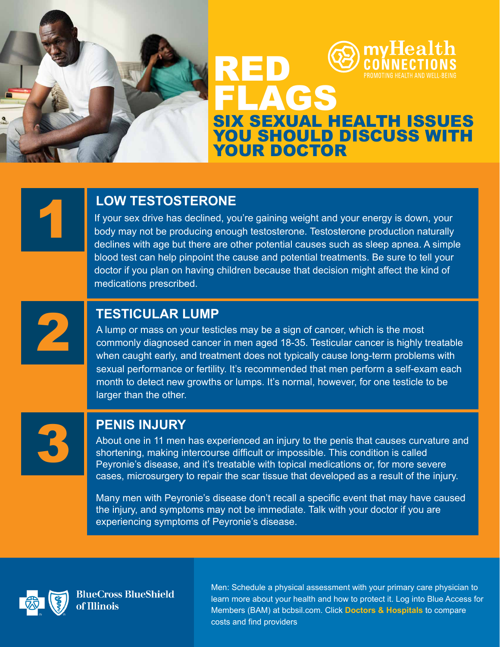

## **CFS** SIX SEXUAL HEALTH ISSUES YOU SHOULD DISCUSS WITH YOUR DOCTOR

**LOW TESTOSTERONE**<br>
If your sex drive has declined, you're gaining weight and your energy is down, your<br>
body may not be producing enough testosterone. Testosterone production naturally<br>
declines with age but there are oth body may not be producing enough testosterone. Testosterone production naturally declines with age but there are other potential causes such as sleep apnea. A simple blood test can help pinpoint the cause and potential treatments. Be sure to tell your doctor if you plan on having children because that decision might affect the kind of medications prescribed.

RED

**TESTICULAR LUMP**<br>A lump or mass on your testicles may be a sign of cancer, which is the most<br>commonly diagnosed cancer in men aged 18-35. Testicular cancer is highly t<br>when caught early, and treatment does not typically c commonly diagnosed cancer in men aged 18-35. Testicular cancer is highly treatable when caught early, and treatment does not typically cause long-term problems with sexual performance or fertility. It's recommended that men perform a self-exam each month to detect new growths or lumps. It's normal, however, for one testicle to be larger than the other.



**PENIS INJURY**<br>About one in 11 men has experienced an injury to the penis that causes curvature and shortening, making intercourse difficult or impossible. This condition is called<br>Peyronie's disease, and it's treatable wi shortening, making intercourse difficult or impossible. This condition is called cases, microsurgery to repair the scar tissue that developed as a result of the injury.

> Many men with Peyronie's disease don't recall a specific event that may have caused the injury, and symptoms may not be immediate. Talk with your doctor if you are experiencing symptoms of Peyronie's disease.



**BlueCross BlueShield** of Illinois

Men: Schedule a physical assessment with your primary care physician to learn more about your health and how to protect it. Log into Blue Access for Members (BAM) at bcbsil.com. Click **Doctors & Hospitals** to compare costs and find providers